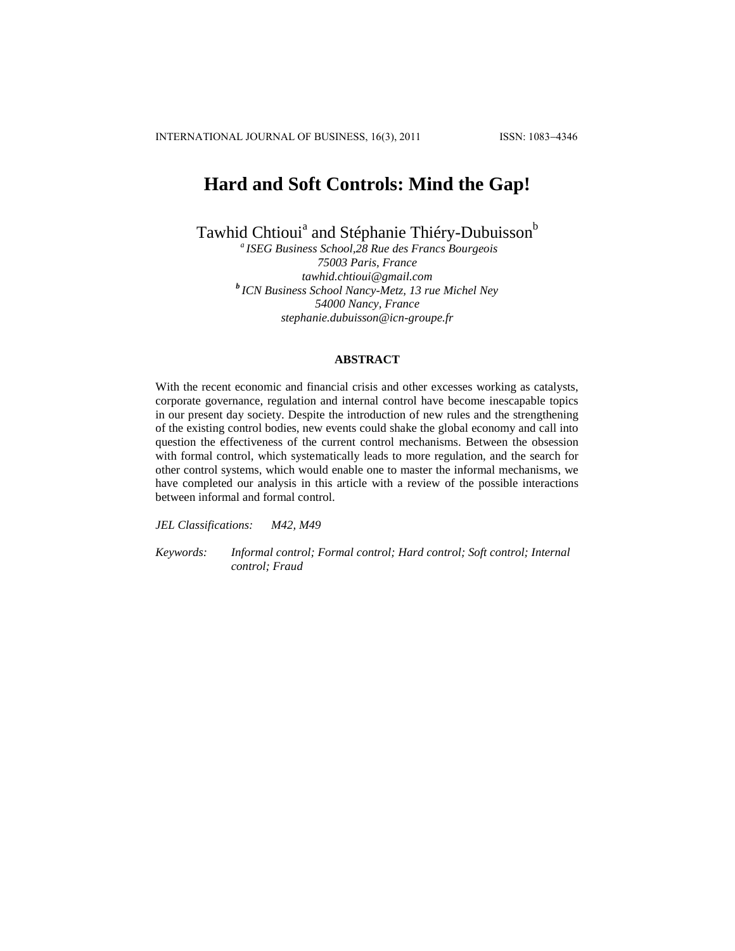INTERNATIONAL JOURNAL OF BUSINESS, 16(3), 2011 ISSN: 1083-4346

# **Hard and Soft Controls: Mind the Gap!**

Tawhid Chtioui<sup>a</sup> and Stéphanie Thiéry-Dubuisson<sup>b</sup>

*<sup>a</sup>ISEG Business School,28 Rue des Francs Bourgeois 75003 Paris, France tawhid.chtioui@gmail.com <sup>b</sup>ICN Business School Nancy-Metz, 13 rue Michel Ney 54000 Nancy, France stephanie.dubuisson@icn-groupe.fr*

# **ABSTRACT**

With the recent economic and financial crisis and other excesses working as catalysts, corporate governance, regulation and internal control have become inescapable topics in our present day society. Despite the introduction of new rules and the strengthening of the existing control bodies, new events could shake the global economy and call into question the effectiveness of the current control mechanisms. Between the obsession with formal control, which systematically leads to more regulation, and the search for other control systems, which would enable one to master the informal mechanisms, we have completed our analysis in this article with a review of the possible interactions between informal and formal control.

*JEL Classifications: M42, M49*

*Keywords: Informal control; Formal control; Hard control; Soft control; Internal control; Fraud*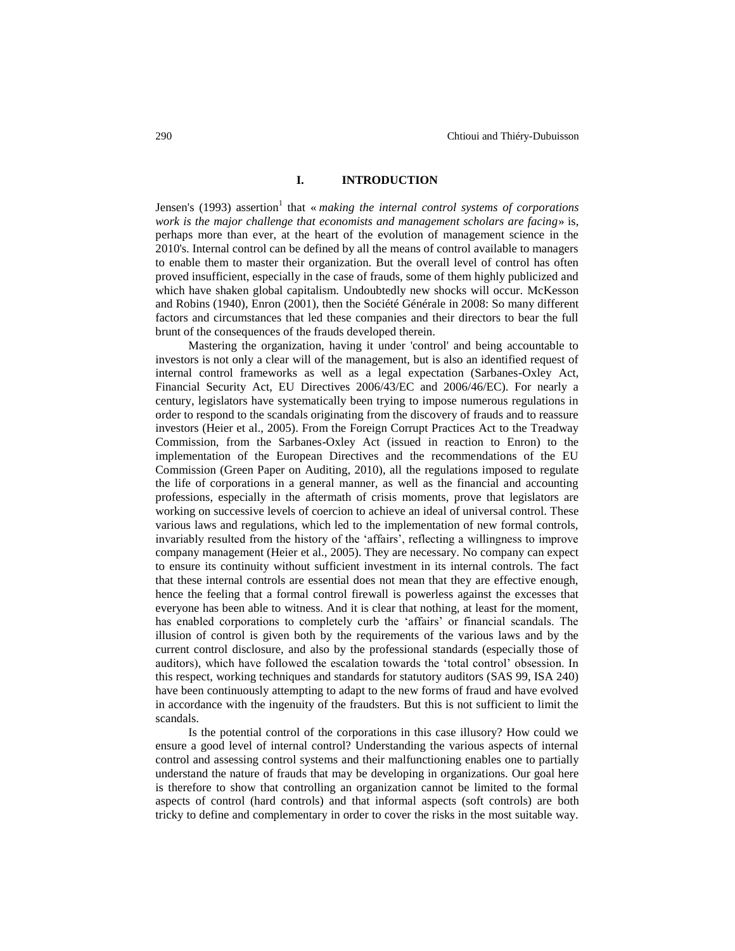## **I. INTRODUCTION**

Jensen's (1993) assertion<sup>1</sup> that « *making the internal control systems of corporations work is the major challenge that economists and management scholars are facing*» is, perhaps more than ever, at the heart of the evolution of management science in the 2010's. Internal control can be defined by all the means of control available to managers to enable them to master their organization. But the overall level of control has often proved insufficient, especially in the case of frauds, some of them highly publicized and which have shaken global capitalism. Undoubtedly new shocks will occur. McKesson and Robins (1940), Enron (2001), then the Société Générale in 2008: So many different factors and circumstances that led these companies and their directors to bear the full brunt of the consequences of the frauds developed therein.

Mastering the organization, having it under 'control' and being accountable to investors is not only a clear will of the management, but is also an identified request of internal control frameworks as well as a legal expectation (Sarbanes-Oxley Act, Financial Security Act, EU Directives 2006/43/EC and 2006/46/EC). For nearly a century, legislators have systematically been trying to impose numerous regulations in order to respond to the scandals originating from the discovery of frauds and to reassure investors (Heier et al., 2005). From the Foreign Corrupt Practices Act to the Treadway Commission, from the Sarbanes-Oxley Act (issued in reaction to Enron) to the implementation of the European Directives and the recommendations of the EU Commission (Green Paper on Auditing, 2010), all the regulations imposed to regulate the life of corporations in a general manner, as well as the financial and accounting professions, especially in the aftermath of crisis moments, prove that legislators are working on successive levels of coercion to achieve an ideal of universal control. These various laws and regulations, which led to the implementation of new formal controls, invariably resulted from the history of the "affairs", reflecting a willingness to improve company management (Heier et al., 2005). They are necessary. No company can expect to ensure its continuity without sufficient investment in its internal controls. The fact that these internal controls are essential does not mean that they are effective enough, hence the feeling that a formal control firewall is powerless against the excesses that everyone has been able to witness. And it is clear that nothing, at least for the moment, has enabled corporations to completely curb the "affairs" or financial scandals. The illusion of control is given both by the requirements of the various laws and by the current control disclosure, and also by the professional standards (especially those of auditors), which have followed the escalation towards the "total control" obsession. In this respect, working techniques and standards for statutory auditors (SAS 99, ISA 240) have been continuously attempting to adapt to the new forms of fraud and have evolved in accordance with the ingenuity of the fraudsters. But this is not sufficient to limit the scandals.

Is the potential control of the corporations in this case illusory? How could we ensure a good level of internal control? Understanding the various aspects of internal control and assessing control systems and their malfunctioning enables one to partially understand the nature of frauds that may be developing in organizations. Our goal here is therefore to show that controlling an organization cannot be limited to the formal aspects of control (hard controls) and that informal aspects (soft controls) are both tricky to define and complementary in order to cover the risks in the most suitable way.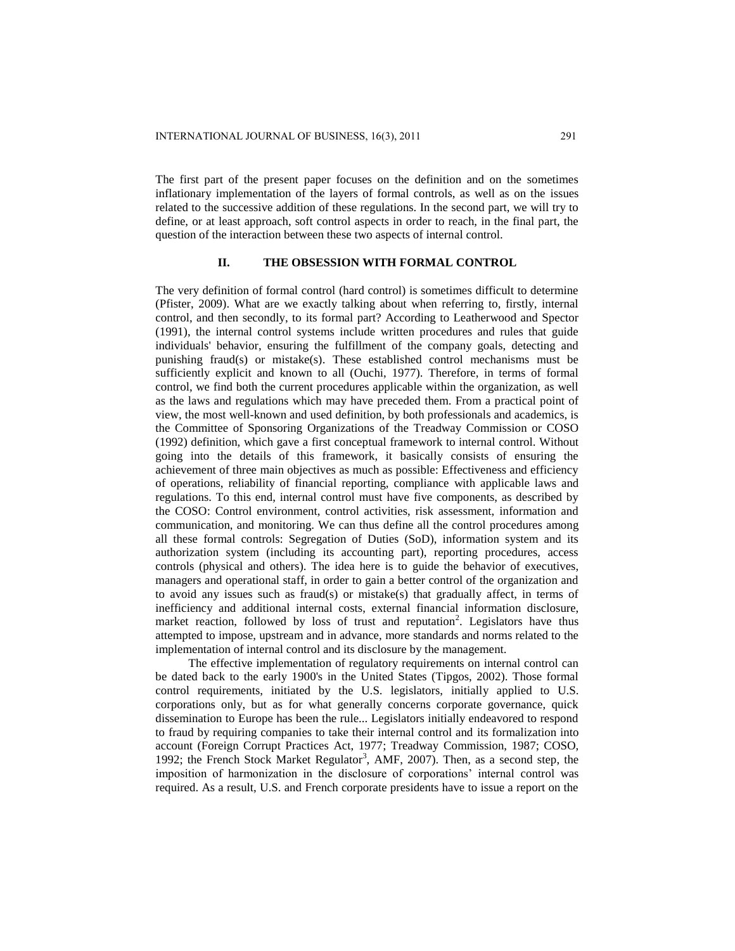The first part of the present paper focuses on the definition and on the sometimes inflationary implementation of the layers of formal controls, as well as on the issues related to the successive addition of these regulations. In the second part, we will try to define, or at least approach, soft control aspects in order to reach, in the final part, the question of the interaction between these two aspects of internal control.

#### **II. THE OBSESSION WITH FORMAL CONTROL**

The very definition of formal control (hard control) is sometimes difficult to determine (Pfister, 2009). What are we exactly talking about when referring to, firstly, internal control, and then secondly, to its formal part? According to Leatherwood and Spector (1991), the internal control systems include written procedures and rules that guide individuals' behavior, ensuring the fulfillment of the company goals, detecting and punishing fraud(s) or mistake(s). These established control mechanisms must be sufficiently explicit and known to all (Ouchi, 1977). Therefore, in terms of formal control, we find both the current procedures applicable within the organization, as well as the laws and regulations which may have preceded them. From a practical point of view, the most well-known and used definition, by both professionals and academics, is the Committee of Sponsoring Organizations of the Treadway Commission or COSO (1992) definition, which gave a first conceptual framework to internal control. Without going into the details of this framework, it basically consists of ensuring the achievement of three main objectives as much as possible: Effectiveness and efficiency of operations, reliability of financial reporting, compliance with applicable laws and regulations. To this end, internal control must have five components, as described by the COSO: Control environment, control activities, risk assessment, information and communication, and monitoring. We can thus define all the control procedures among all these formal controls: Segregation of Duties (SoD), information system and its authorization system (including its accounting part), reporting procedures, access controls (physical and others). The idea here is to guide the behavior of executives, managers and operational staff, in order to gain a better control of the organization and to avoid any issues such as fraud(s) or mistake(s) that gradually affect, in terms of inefficiency and additional internal costs, external financial information disclosure, market reaction, followed by loss of trust and reputation<sup>2</sup>. Legislators have thus attempted to impose, upstream and in advance, more standards and norms related to the implementation of internal control and its disclosure by the management.

The effective implementation of regulatory requirements on internal control can be dated back to the early 1900's in the United States (Tipgos, 2002). Those formal control requirements, initiated by the U.S. legislators, initially applied to U.S. corporations only, but as for what generally concerns corporate governance, quick dissemination to Europe has been the rule... Legislators initially endeavored to respond to fraud by requiring companies to take their internal control and its formalization into account (Foreign Corrupt Practices Act, 1977; Treadway Commission, 1987; COSO, 1992; the French Stock Market Regulator<sup>3</sup>, AMF, 2007). Then, as a second step, the imposition of harmonization in the disclosure of corporations" internal control was required. As a result, U.S. and French corporate presidents have to issue a report on the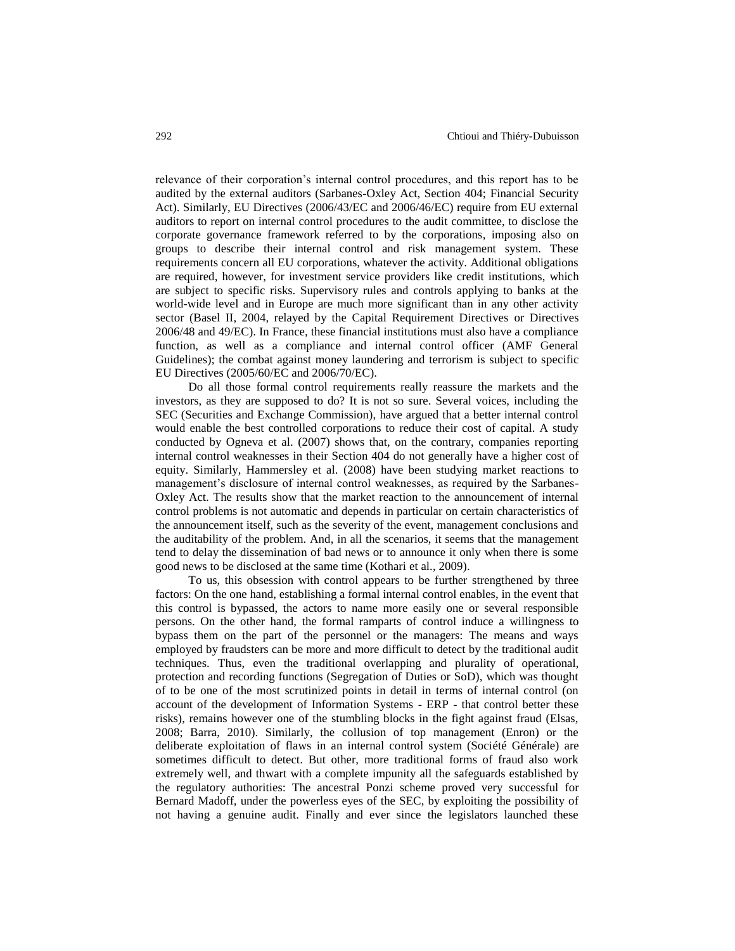relevance of their corporation"s internal control procedures, and this report has to be audited by the external auditors (Sarbanes-Oxley Act, Section 404; Financial Security Act). Similarly, EU Directives (2006/43/EC and 2006/46/EC) require from EU external auditors to report on internal control procedures to the audit committee, to disclose the corporate governance framework referred to by the corporations, imposing also on groups to describe their internal control and risk management system. These requirements concern all EU corporations, whatever the activity. Additional obligations are required, however, for investment service providers like credit institutions, which are subject to specific risks. Supervisory rules and controls applying to banks at the world-wide level and in Europe are much more significant than in any other activity sector (Basel II, 2004, relayed by the Capital Requirement Directives or Directives 2006/48 and 49/EC). In France, these financial institutions must also have a compliance function, as well as a compliance and internal control officer (AMF General Guidelines); the combat against money laundering and terrorism is subject to specific EU Directives (2005/60/EC and 2006/70/EC).

Do all those formal control requirements really reassure the markets and the investors, as they are supposed to do? It is not so sure. Several voices, including the SEC (Securities and Exchange Commission), have argued that a better internal control would enable the best controlled corporations to reduce their cost of capital. A study conducted by Ogneva et al. (2007) shows that, on the contrary, companies reporting internal control weaknesses in their Section 404 do not generally have a higher cost of equity. Similarly, Hammersley et al. (2008) have been studying market reactions to management's disclosure of internal control weaknesses, as required by the Sarbanes-Oxley Act. The results show that the market reaction to the announcement of internal control problems is not automatic and depends in particular on certain characteristics of the announcement itself, such as the severity of the event, management conclusions and the auditability of the problem. And, in all the scenarios, it seems that the management tend to delay the dissemination of bad news or to announce it only when there is some good news to be disclosed at the same time (Kothari et al., 2009).

To us, this obsession with control appears to be further strengthened by three factors: On the one hand, establishing a formal internal control enables, in the event that this control is bypassed, the actors to name more easily one or several responsible persons. On the other hand, the formal ramparts of control induce a willingness to bypass them on the part of the personnel or the managers: The means and ways employed by fraudsters can be more and more difficult to detect by the traditional audit techniques. Thus, even the traditional overlapping and plurality of operational, protection and recording functions (Segregation of Duties or SoD), which was thought of to be one of the most scrutinized points in detail in terms of internal control (on account of the development of Information Systems - ERP - that control better these risks), remains however one of the stumbling blocks in the fight against fraud (Elsas, 2008; Barra, 2010). Similarly, the collusion of top management (Enron) or the deliberate exploitation of flaws in an internal control system (Société Générale) are sometimes difficult to detect. But other, more traditional forms of fraud also work extremely well, and thwart with a complete impunity all the safeguards established by the regulatory authorities: The ancestral Ponzi scheme proved very successful for Bernard Madoff, under the powerless eyes of the SEC, by exploiting the possibility of not having a genuine audit. Finally and ever since the legislators launched these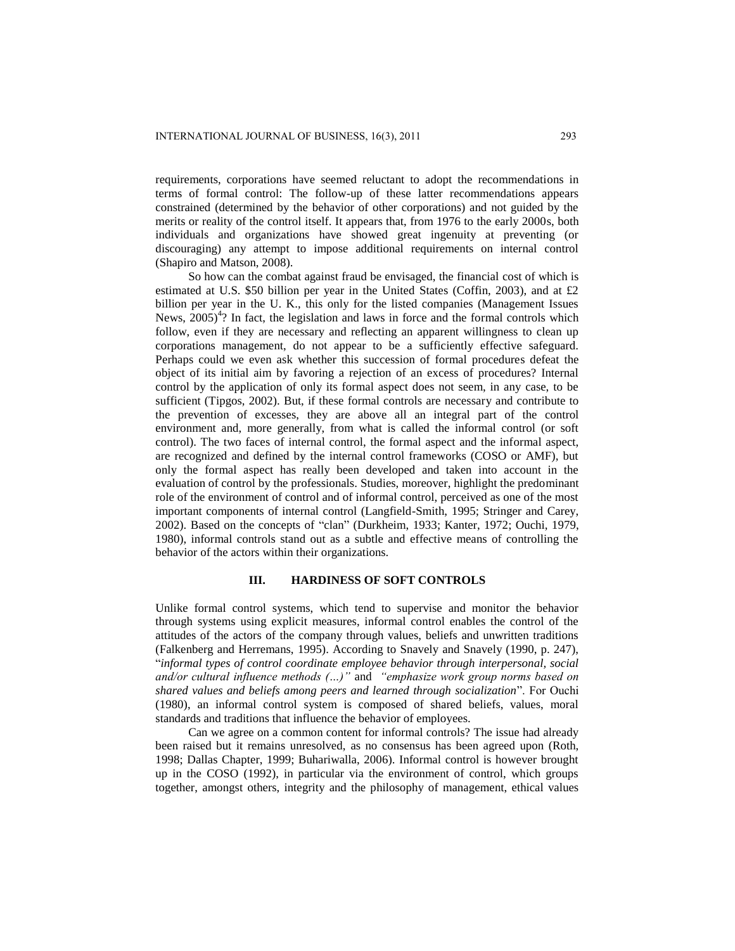requirements, corporations have seemed reluctant to adopt the recommendations in terms of formal control: The follow-up of these latter recommendations appears constrained (determined by the behavior of other corporations) and not guided by the merits or reality of the control itself. It appears that, from 1976 to the early 2000s, both individuals and organizations have showed great ingenuity at preventing (or discouraging) any attempt to impose additional requirements on internal control (Shapiro and Matson, 2008).

So how can the combat against fraud be envisaged, the financial cost of which is estimated at U.S. \$50 billion per year in the United States (Coffin, 2003), and at £2 billion per year in the U. K., this only for the listed companies (Management Issues News,  $2005)^{4}$ ? In fact, the legislation and laws in force and the formal controls which follow, even if they are necessary and reflecting an apparent willingness to clean up corporations management, do not appear to be a sufficiently effective safeguard. Perhaps could we even ask whether this succession of formal procedures defeat the object of its initial aim by favoring a rejection of an excess of procedures? Internal control by the application of only its formal aspect does not seem, in any case, to be sufficient (Tipgos, 2002). But, if these formal controls are necessary and contribute to the prevention of excesses, they are above all an integral part of the control environment and, more generally, from what is called the informal control (or soft control). The two faces of internal control, the formal aspect and the informal aspect, are recognized and defined by the internal control frameworks (COSO or AMF), but only the formal aspect has really been developed and taken into account in the evaluation of control by the professionals. Studies, moreover, highlight the predominant role of the environment of control and of informal control, perceived as one of the most important components of internal control (Langfield-Smith, 1995; Stringer and Carey, 2002). Based on the concepts of "clan" (Durkheim, 1933; Kanter, 1972; Ouchi, 1979, 1980), informal controls stand out as a subtle and effective means of controlling the behavior of the actors within their organizations.

## **III. HARDINESS OF SOFT CONTROLS**

Unlike formal control systems, which tend to supervise and monitor the behavior through systems using explicit measures, informal control enables the control of the attitudes of the actors of the company through values, beliefs and unwritten traditions (Falkenberg and Herremans, 1995). According to Snavely and Snavely (1990, p. 247), "*informal types of control coordinate employee behavior through interpersonal, social and/or cultural influence methods (…)"* and *"emphasize work group norms based on shared values and beliefs among peers and learned through socialization*". For Ouchi (1980), an informal control system is composed of shared beliefs, values, moral standards and traditions that influence the behavior of employees.

Can we agree on a common content for informal controls? The issue had already been raised but it remains unresolved, as no consensus has been agreed upon (Roth, 1998; Dallas Chapter, 1999; Buhariwalla, 2006). Informal control is however brought up in the COSO (1992), in particular via the environment of control, which groups together, amongst others, integrity and the philosophy of management, ethical values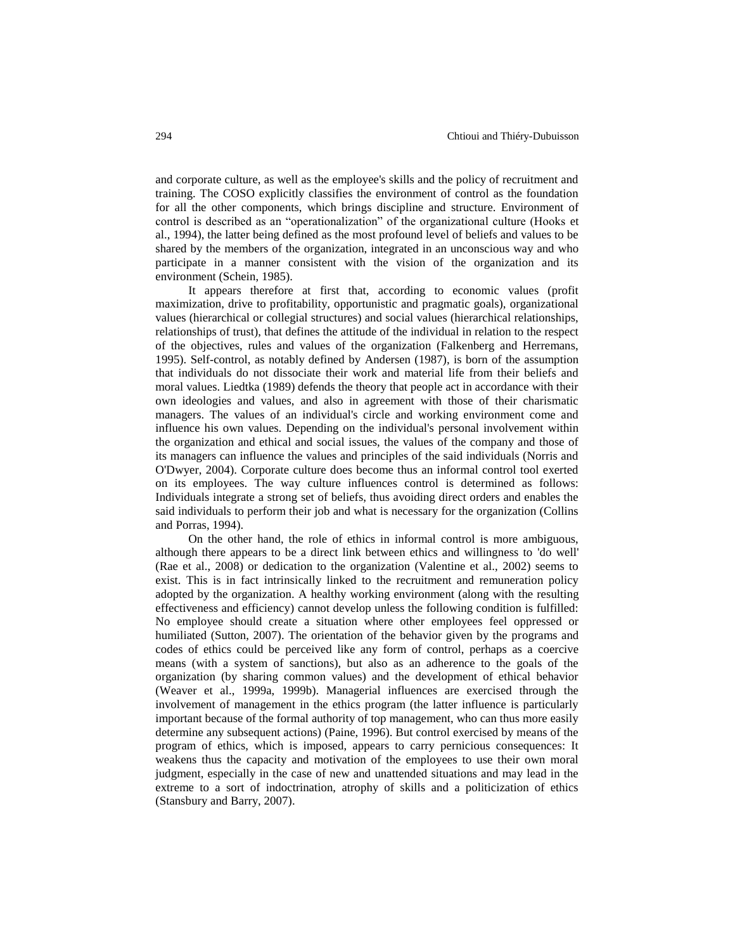and corporate culture, as well as the employee's skills and the policy of recruitment and training. The COSO explicitly classifies the environment of control as the foundation for all the other components, which brings discipline and structure. Environment of control is described as an "operationalization" of the organizational culture (Hooks et al., 1994), the latter being defined as the most profound level of beliefs and values to be shared by the members of the organization, integrated in an unconscious way and who participate in a manner consistent with the vision of the organization and its environment (Schein, 1985).

It appears therefore at first that, according to economic values (profit maximization, drive to profitability, opportunistic and pragmatic goals), organizational values (hierarchical or collegial structures) and social values (hierarchical relationships, relationships of trust), that defines the attitude of the individual in relation to the respect of the objectives, rules and values of the organization (Falkenberg and Herremans, 1995). Self-control, as notably defined by Andersen (1987), is born of the assumption that individuals do not dissociate their work and material life from their beliefs and moral values. Liedtka (1989) defends the theory that people act in accordance with their own ideologies and values, and also in agreement with those of their charismatic managers. The values of an individual's circle and working environment come and influence his own values. Depending on the individual's personal involvement within the organization and ethical and social issues, the values of the company and those of its managers can influence the values and principles of the said individuals (Norris and O'Dwyer, 2004). Corporate culture does become thus an informal control tool exerted on its employees. The way culture influences control is determined as follows: Individuals integrate a strong set of beliefs, thus avoiding direct orders and enables the said individuals to perform their job and what is necessary for the organization (Collins and Porras, 1994).

On the other hand, the role of ethics in informal control is more ambiguous, although there appears to be a direct link between ethics and willingness to 'do well' (Rae et al., 2008) or dedication to the organization (Valentine et al., 2002) seems to exist. This is in fact intrinsically linked to the recruitment and remuneration policy adopted by the organization. A healthy working environment (along with the resulting effectiveness and efficiency) cannot develop unless the following condition is fulfilled: No employee should create a situation where other employees feel oppressed or humiliated (Sutton, 2007). The orientation of the behavior given by the programs and codes of ethics could be perceived like any form of control, perhaps as a coercive means (with a system of sanctions), but also as an adherence to the goals of the organization (by sharing common values) and the development of ethical behavior (Weaver et al., 1999a, 1999b). Managerial influences are exercised through the involvement of management in the ethics program (the latter influence is particularly important because of the formal authority of top management, who can thus more easily determine any subsequent actions) (Paine, 1996). But control exercised by means of the program of ethics, which is imposed, appears to carry pernicious consequences: It weakens thus the capacity and motivation of the employees to use their own moral judgment, especially in the case of new and unattended situations and may lead in the extreme to a sort of indoctrination, atrophy of skills and a politicization of ethics (Stansbury and Barry, 2007).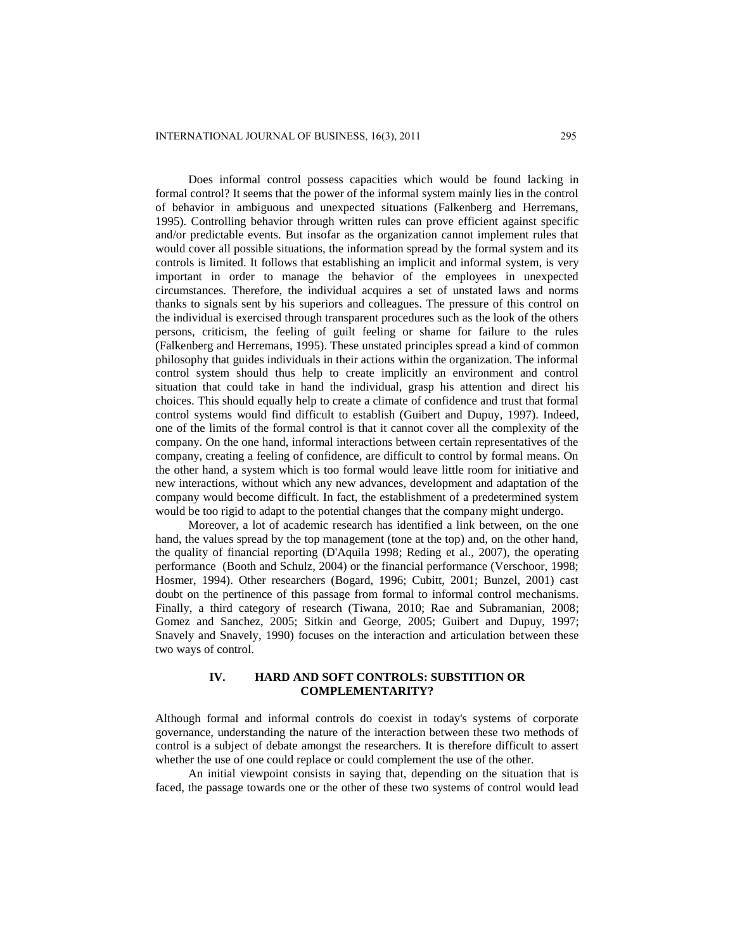Does informal control possess capacities which would be found lacking in formal control? It seems that the power of the informal system mainly lies in the control of behavior in ambiguous and unexpected situations (Falkenberg and Herremans, 1995). Controlling behavior through written rules can prove efficient against specific and/or predictable events. But insofar as the organization cannot implement rules that would cover all possible situations, the information spread by the formal system and its controls is limited. It follows that establishing an implicit and informal system, is very important in order to manage the behavior of the employees in unexpected circumstances. Therefore, the individual acquires a set of unstated laws and norms thanks to signals sent by his superiors and colleagues. The pressure of this control on the individual is exercised through transparent procedures such as the look of the others persons, criticism, the feeling of guilt feeling or shame for failure to the rules (Falkenberg and Herremans, 1995). These unstated principles spread a kind of common philosophy that guides individuals in their actions within the organization. The informal control system should thus help to create implicitly an environment and control situation that could take in hand the individual, grasp his attention and direct his choices. This should equally help to create a climate of confidence and trust that formal control systems would find difficult to establish (Guibert and Dupuy, 1997). Indeed, one of the limits of the formal control is that it cannot cover all the complexity of the company. On the one hand, informal interactions between certain representatives of the company, creating a feeling of confidence, are difficult to control by formal means. On the other hand, a system which is too formal would leave little room for initiative and new interactions, without which any new advances, development and adaptation of the company would become difficult. In fact, the establishment of a predetermined system would be too rigid to adapt to the potential changes that the company might undergo.

Moreover, a lot of academic research has identified a link between, on the one hand, the values spread by the top management (tone at the top) and, on the other hand, the quality of financial reporting (D'Aquila 1998; Reding et al., 2007), the operating performance (Booth and Schulz, 2004) or the financial performance (Verschoor, 1998; Hosmer, 1994). Other researchers (Bogard, 1996; Cubitt, 2001; Bunzel, 2001) cast doubt on the pertinence of this passage from formal to informal control mechanisms. Finally, a third category of research (Tiwana, 2010; Rae and Subramanian, 2008; Gomez and Sanchez, 2005; Sitkin and George, 2005; Guibert and Dupuy, 1997; Snavely and Snavely, 1990) focuses on the interaction and articulation between these two ways of control.

# **IV. HARD AND SOFT CONTROLS: SUBSTITION OR COMPLEMENTARITY?**

Although formal and informal controls do coexist in today's systems of corporate governance, understanding the nature of the interaction between these two methods of control is a subject of debate amongst the researchers. It is therefore difficult to assert whether the use of one could replace or could complement the use of the other.

An initial viewpoint consists in saying that, depending on the situation that is faced, the passage towards one or the other of these two systems of control would lead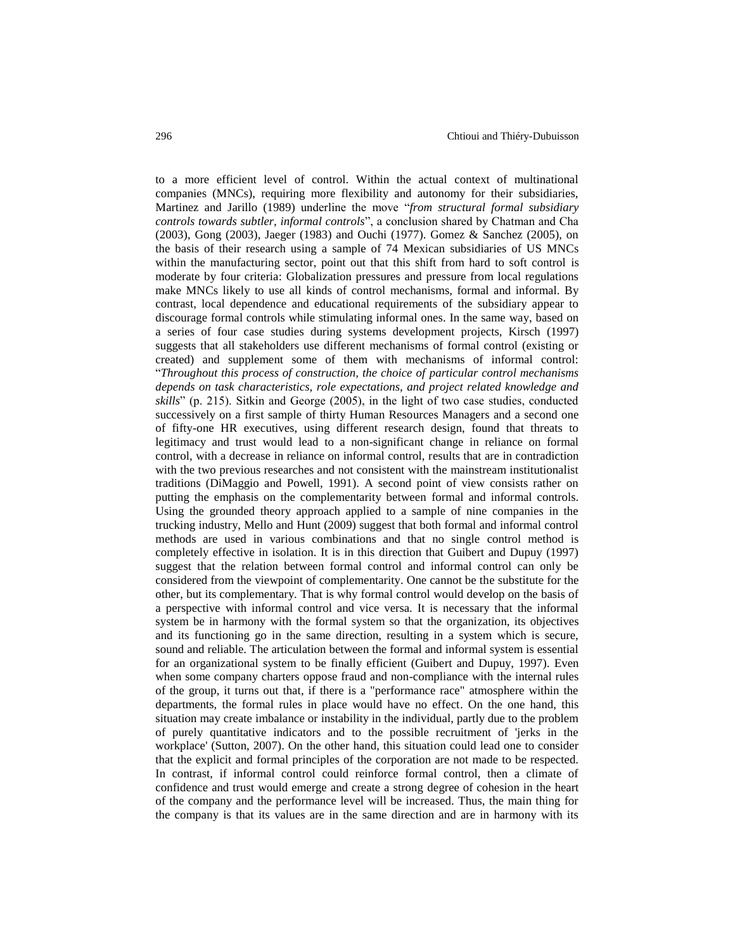to a more efficient level of control. Within the actual context of multinational companies (MNCs), requiring more flexibility and autonomy for their subsidiaries, Martinez and Jarillo (1989) underline the move "*from structural formal subsidiary controls towards subtler, informal controls*", a conclusion shared by Chatman and Cha (2003), Gong (2003), Jaeger (1983) and Ouchi (1977). Gomez & Sanchez (2005), on the basis of their research using a sample of 74 Mexican subsidiaries of US MNCs within the manufacturing sector, point out that this shift from hard to soft control is moderate by four criteria: Globalization pressures and pressure from local regulations make MNCs likely to use all kinds of control mechanisms, formal and informal. By contrast, local dependence and educational requirements of the subsidiary appear to discourage formal controls while stimulating informal ones. In the same way, based on a series of four case studies during systems development projects, Kirsch (1997) suggests that all stakeholders use different mechanisms of formal control (existing or created) and supplement some of them with mechanisms of informal control: "*Throughout this process of construction, the choice of particular control mechanisms depends on task characteristics, role expectations, and project related knowledge and skills*" (p. 215). Sitkin and George (2005), in the light of two case studies, conducted successively on a first sample of thirty Human Resources Managers and a second one of fifty-one HR executives, using different research design, found that threats to legitimacy and trust would lead to a non-significant change in reliance on formal control, with a decrease in reliance on informal control, results that are in contradiction with the two previous researches and not consistent with the mainstream institutionalist traditions (DiMaggio and Powell, 1991). A second point of view consists rather on putting the emphasis on the complementarity between formal and informal controls. Using the grounded theory approach applied to a sample of nine companies in the trucking industry, Mello and Hunt (2009) suggest that both formal and informal control methods are used in various combinations and that no single control method is completely effective in isolation. It is in this direction that Guibert and Dupuy (1997) suggest that the relation between formal control and informal control can only be considered from the viewpoint of complementarity. One cannot be the substitute for the other, but its complementary. That is why formal control would develop on the basis of a perspective with informal control and vice versa. It is necessary that the informal system be in harmony with the formal system so that the organization, its objectives and its functioning go in the same direction, resulting in a system which is secure, sound and reliable. The articulation between the formal and informal system is essential for an organizational system to be finally efficient (Guibert and Dupuy, 1997). Even when some company charters oppose fraud and non-compliance with the internal rules of the group, it turns out that, if there is a "performance race" atmosphere within the departments, the formal rules in place would have no effect. On the one hand, this situation may create imbalance or instability in the individual, partly due to the problem of purely quantitative indicators and to the possible recruitment of 'jerks in the workplace' (Sutton, 2007). On the other hand, this situation could lead one to consider that the explicit and formal principles of the corporation are not made to be respected. In contrast, if informal control could reinforce formal control, then a climate of confidence and trust would emerge and create a strong degree of cohesion in the heart of the company and the performance level will be increased. Thus, the main thing for the company is that its values are in the same direction and are in harmony with its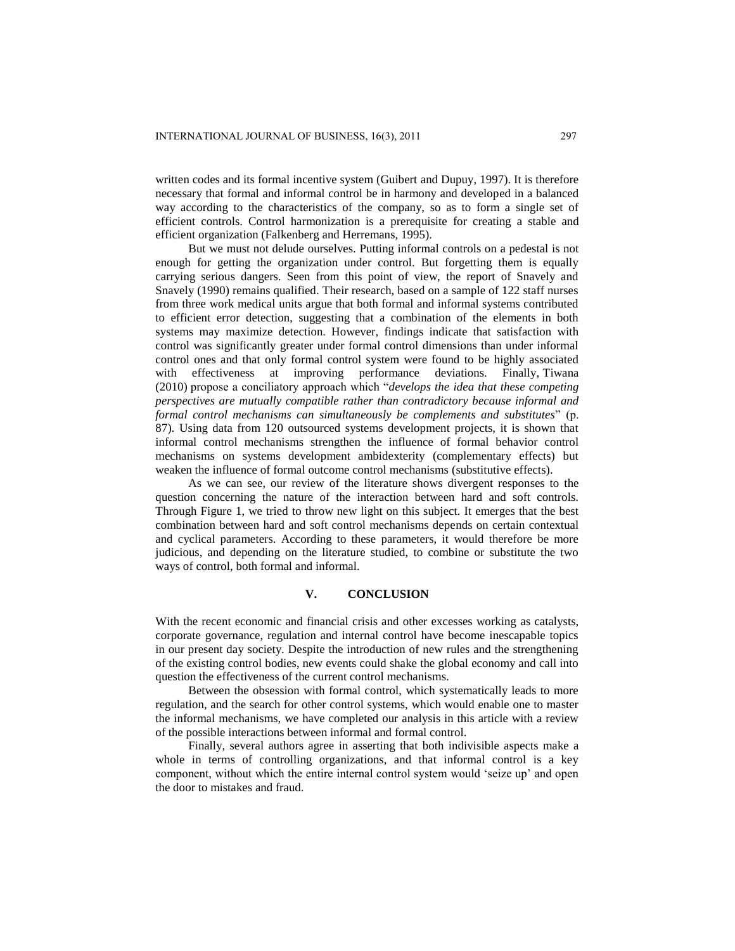written codes and its formal incentive system (Guibert and Dupuy, 1997). It is therefore necessary that formal and informal control be in harmony and developed in a balanced way according to the characteristics of the company, so as to form a single set of efficient controls. Control harmonization is a prerequisite for creating a stable and efficient organization (Falkenberg and Herremans, 1995).

But we must not delude ourselves. Putting informal controls on a pedestal is not enough for getting the organization under control. But forgetting them is equally carrying serious dangers. Seen from this point of view, the report of Snavely and Snavely (1990) remains qualified. Their research, based on a sample of 122 staff nurses from three work medical units argue that both formal and informal systems contributed to efficient error detection, suggesting that a combination of the elements in both systems may maximize detection. However, findings indicate that satisfaction with control was significantly greater under formal control dimensions than under informal control ones and that only formal control system were found to be highly associated with effectiveness at improving performance deviations. Finally, Tiwana (2010) propose a conciliatory approach which "*develops the idea that these competing perspectives are mutually compatible rather than contradictory because informal and formal control mechanisms can simultaneously be complements and substitutes*" (p. 87). Using data from 120 outsourced systems development projects, it is shown that informal control mechanisms strengthen the influence of formal behavior control mechanisms on systems development ambidexterity (complementary effects) but weaken the influence of formal outcome control mechanisms (substitutive effects).

As we can see, our review of the literature shows divergent responses to the question concerning the nature of the interaction between hard and soft controls. Through Figure 1, we tried to throw new light on this subject. It emerges that the best combination between hard and soft control mechanisms depends on certain contextual and cyclical parameters. According to these parameters, it would therefore be more judicious, and depending on the literature studied, to combine or substitute the two ways of control, both formal and informal.

## **V. CONCLUSION**

With the recent economic and financial crisis and other excesses working as catalysts, corporate governance, regulation and internal control have become inescapable topics in our present day society. Despite the introduction of new rules and the strengthening of the existing control bodies, new events could shake the global economy and call into question the effectiveness of the current control mechanisms.

Between the obsession with formal control, which systematically leads to more regulation, and the search for other control systems, which would enable one to master the informal mechanisms, we have completed our analysis in this article with a review of the possible interactions between informal and formal control.

Finally, several authors agree in asserting that both indivisible aspects make a whole in terms of controlling organizations, and that informal control is a key component, without which the entire internal control system would "seize up" and open the door to mistakes and fraud.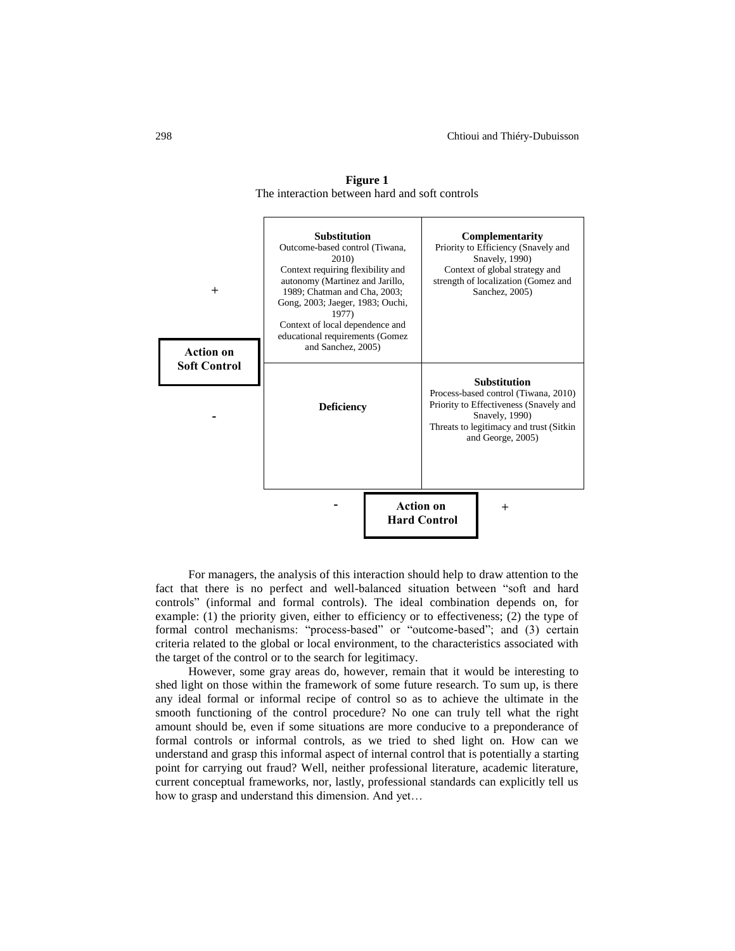

**Figure 1** The interaction between hard and soft controls

For managers, the analysis of this interaction should help to draw attention to the fact that there is no perfect and well-balanced situation between "soft and hard controls" (informal and formal controls). The ideal combination depends on, for example: (1) the priority given, either to efficiency or to effectiveness; (2) the type of formal control mechanisms: "process-based" or "outcome-based"; and (3) certain criteria related to the global or local environment, to the characteristics associated with the target of the control or to the search for legitimacy.

However, some gray areas do, however, remain that it would be interesting to shed light on those within the framework of some future research. To sum up, is there any ideal formal or informal recipe of control so as to achieve the ultimate in the smooth functioning of the control procedure? No one can truly tell what the right amount should be, even if some situations are more conducive to a preponderance of formal controls or informal controls, as we tried to shed light on. How can we understand and grasp this informal aspect of internal control that is potentially a starting point for carrying out fraud? Well, neither professional literature, academic literature, current conceptual frameworks, nor, lastly, professional standards can explicitly tell us how to grasp and understand this dimension. And yet…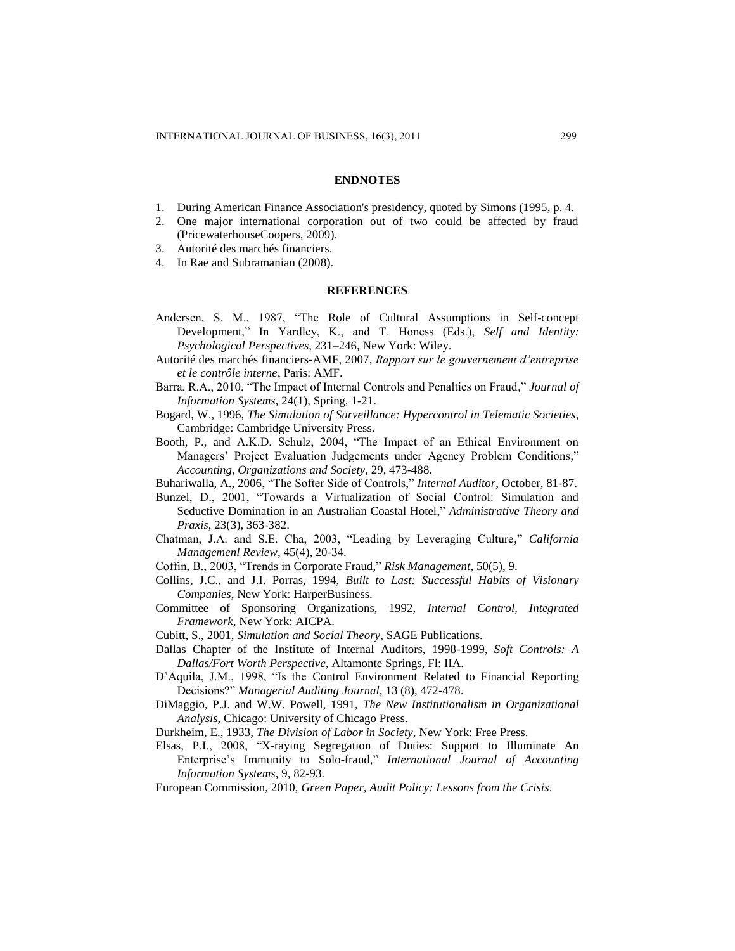#### **ENDNOTES**

- 1. During American Finance Association's presidency, quoted by Simons (1995, p. 4.
- 2. One major international corporation out of two could be affected by fraud (PricewaterhouseCoopers, 2009).
- 3. Autorité des marchés financiers.
- 4. In Rae and Subramanian (2008).

#### **REFERENCES**

- Andersen, S. M., 1987, "The Role of Cultural Assumptions in Self-concept Development," In Yardley, K., and T. Honess (Eds.), *Self and Identity: Psychological Perspectives*, 231–246, New York: Wiley.
- Autorité des marchés financiers-AMF, 2007, *Rapport sur le gouvernement d'entreprise et le contrôle interne*, Paris: AMF.
- Barra, R.A., 2010, "The Impact of Internal Controls and Penalties on Fraud," *Journal of Information Systems*, 24(1), Spring, 1-21.
- Bogard, W., 1996, *The Simulation of Surveillance: Hypercontrol in Telematic Societies*, Cambridge: Cambridge University Press.
- Booth, P., and A.K.D. Schulz, 2004, "The Impact of an Ethical Environment on Managers" Project Evaluation Judgements under Agency Problem Conditions," *Accounting, Organizations and Society*, 29, 473-488.
- Buhariwalla, A., 2006, "The Softer Side of Controls," *Internal Auditor*, October, 81-87.
- Bunzel, D., 2001, "Towards a Virtualization of Social Control: Simulation and Seductive Domination in an Australian Coastal Hotel," *Administrative Theory and Praxis*, 23(3), 363-382.
- Chatman, J.A. and S.E. Cha, 2003, "Leading by Leveraging Culture," *California Managemenl Review*, 45(4), 20-34.
- Coffin, B., 2003, "Trends in Corporate Fraud," *Risk Management*, 50(5), 9.
- Collins, J.C., and J.I. Porras, 1994, *Built to Last: Successful Habits of Visionary Companies*, New York: HarperBusiness.
- Committee of Sponsoring Organizations, 1992, *Internal Control, Integrated Framework*, New York: AICPA.
- Cubitt, S., 2001, *Simulation and Social Theory*, SAGE Publications.
- Dallas Chapter of the Institute of Internal Auditors, 1998-1999, *Soft Controls: A Dallas/Fort Worth Perspective*, Altamonte Springs, Fl: IIA.
- D"Aquila, J.M., 1998, "Is the Control Environment Related to Financial Reporting Decisions?" *Managerial Auditing Journal,* 13 (8), 472-478.
- DiMaggio, P.J. and W.W. Powell, 1991, *The New Institutionalism in Organizational Analysis*, Chicago: University of Chicago Press.
- Durkheim, E., 1933, *The Division of Labor in Society*, New York: Free Press.
- Elsas, P.I., 2008, "X-raying Segregation of Duties: Support to Illuminate An Enterprise"s Immunity to Solo-fraud," *International Journal of Accounting Information Systems*, 9, 82-93.
- European Commission, 2010, *Green Paper, Audit Policy: Lessons from the Crisis*.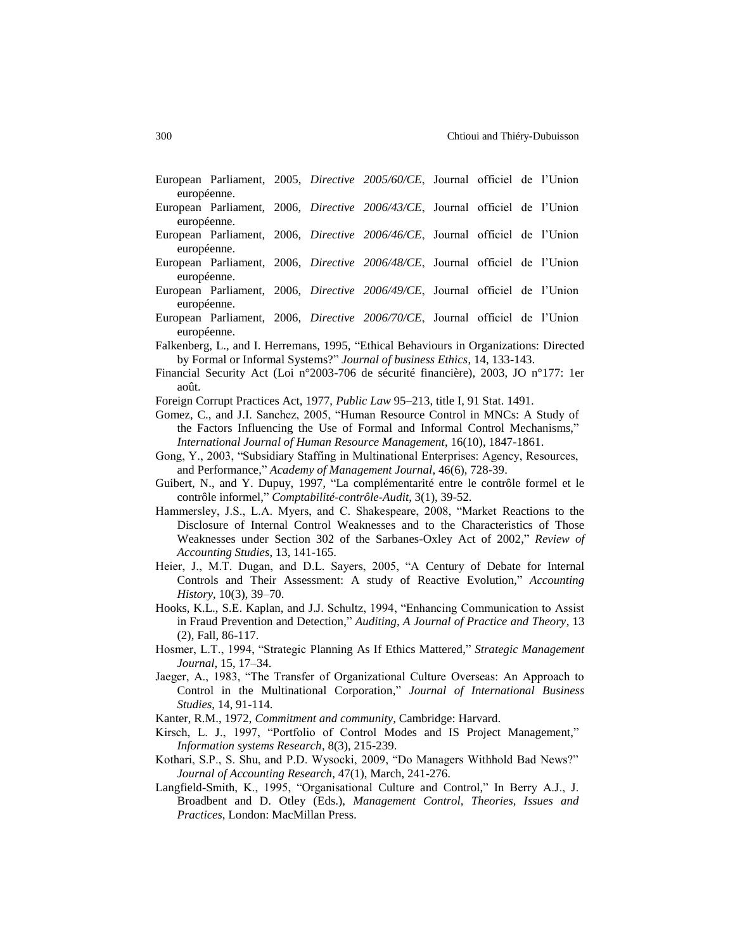|                                                                                        |  |  |  | European Parliament, 2005, Directive 2005/60/CE, Journal officiel de l'Union         |  |  |  |  |
|----------------------------------------------------------------------------------------|--|--|--|--------------------------------------------------------------------------------------|--|--|--|--|
| européenne.                                                                            |  |  |  |                                                                                      |  |  |  |  |
|                                                                                        |  |  |  | European Parliament, 2006, <i>Directive 2006/43/CE</i> , Journal officiel de l'Union |  |  |  |  |
| européenne.                                                                            |  |  |  |                                                                                      |  |  |  |  |
|                                                                                        |  |  |  | European Parliament, 2006, <i>Directive 2006/46/CE</i> , Journal officiel de l'Union |  |  |  |  |
| européenne.                                                                            |  |  |  |                                                                                      |  |  |  |  |
|                                                                                        |  |  |  | European Parliament, 2006, <i>Directive 2006/48/CE</i> , Journal officiel de l'Union |  |  |  |  |
| européenne.                                                                            |  |  |  |                                                                                      |  |  |  |  |
|                                                                                        |  |  |  | European Parliament, 2006, <i>Directive 2006/49/CE</i> , Journal officiel de l'Union |  |  |  |  |
| européenne.                                                                            |  |  |  |                                                                                      |  |  |  |  |
|                                                                                        |  |  |  | European Parliament, 2006, <i>Directive 2006/70/CE</i> , Journal officiel de l'Union |  |  |  |  |
| européenne.                                                                            |  |  |  |                                                                                      |  |  |  |  |
| Falkenberg, L., and I. Herremans, 1995, "Ethical Behaviours in Organizations: Directed |  |  |  |                                                                                      |  |  |  |  |
| by Formal or Informal Systems?" <i>Journal of business Ethics</i> , 14, 133-143.       |  |  |  |                                                                                      |  |  |  |  |

Financial Security Act (Loi n°2003-706 de sécurité financière), 2003, JO n°177: 1er août.

Foreign Corrupt Practices Act, 1977, *Public Law* 95–213, title I, 91 Stat. 1491.

- Gomez, C., and J.I. Sanchez, 2005, "Human Resource Control in MNCs: A Study of the Factors Influencing the Use of Formal and Informal Control Mechanisms," *International Journal of Human Resource Management*, 16(10), 1847-1861.
- Gong, Y., 2003, "Subsidiary Staffing in Multinational Enterprises: Agency, Resources, and Performance," *Academy of Management Journal*, 46(6), 728-39.
- Guibert, N., and Y. Dupuy, 1997, "La complémentarité entre le contrôle formel et le contrôle informel," *Comptabilité-contrôle-Audit*, 3(1), 39-52.
- Hammersley, J.S., L.A. Myers, and C. Shakespeare, 2008, "Market Reactions to the Disclosure of Internal Control Weaknesses and to the Characteristics of Those Weaknesses under Section 302 of the Sarbanes-Oxley Act of 2002," *Review of Accounting Studies*, 13, 141-165.
- Heier, J., M.T. Dugan, and D.L. Sayers, 2005, "A Century of Debate for Internal Controls and Their Assessment: A study of Reactive Evolution," *Accounting History*, 10(3), 39–70.
- Hooks, K.L., S.E. Kaplan, and J.J. Schultz, 1994, "Enhancing Communication to Assist in Fraud Prevention and Detection," *Auditing, A Journal of Practice and Theory*, 13 (2), Fall, 86-117.
- Hosmer, L.T., 1994, "Strategic Planning As If Ethics Mattered," *Strategic Management Journal*, 15, 17–34.
- Jaeger, A., 1983, "The Transfer of Organizational Culture Overseas: An Approach to Control in the Multinational Corporation," *Journal of International Business Studies*, 14, 91-114.
- Kanter, R.M., 1972, *Commitment and community*, Cambridge: Harvard.
- Kirsch, L. J., 1997, "Portfolio of Control Modes and IS Project Management," *Information systems Research*, 8(3), 215-239.
- Kothari, S.P., S. Shu, and P.D. Wysocki, 2009, "Do Managers Withhold Bad News?" *Journal of Accounting Research*, 47(1), March, 241-276.
- Langfield-Smith, K., 1995, "Organisational Culture and Control," In Berry A.J., J. Broadbent and D. Otley (Eds.), *Management Control, Theories, Issues and Practices*, London: MacMillan Press.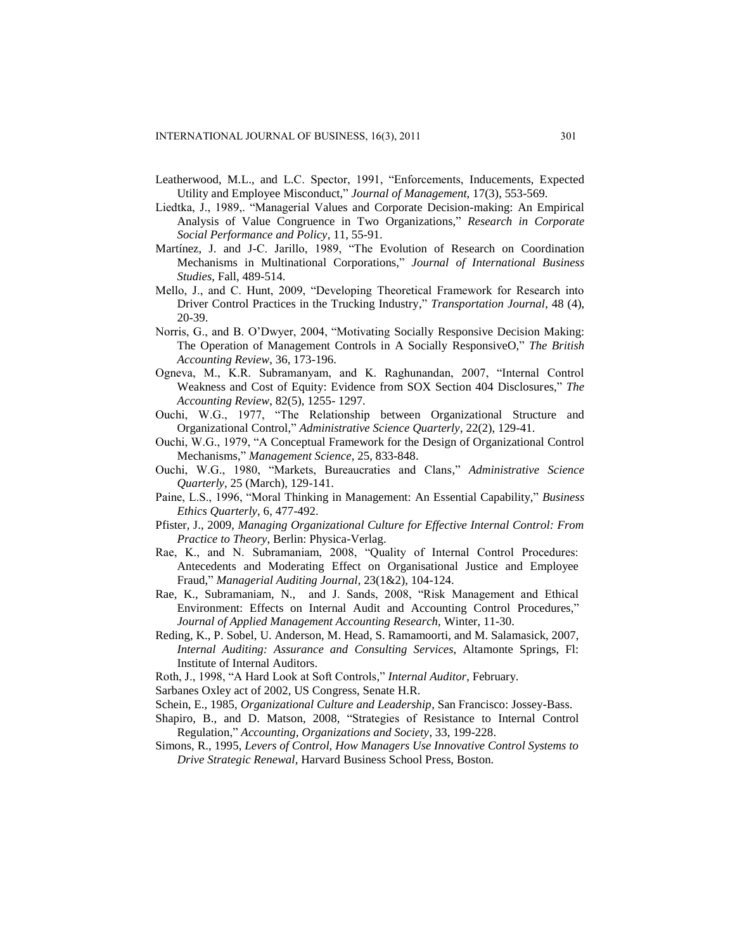- Leatherwood, M.L., and L.C. Spector, 1991, "Enforcements, Inducements, Expected Utility and Employee Misconduct," *Journal of Management*, 17(3), 553-569.
- Liedtka, J., 1989,. "Managerial Values and Corporate Decision-making: An Empirical Analysis of Value Congruence in Two Organizations," *Research in Corporate Social Performance and Policy*, 11, 55-91.
- Martínez, J. and J-C. Jarillo, 1989, "The Evolution of Research on Coordination Mechanisms in Multinational Corporations," *Journal of International Business Studies*, Fall, 489-514.
- Mello, J., and C. Hunt, 2009, "Developing Theoretical Framework for Research into Driver Control Practices in the Trucking Industry," *Transportation Journal*, 48 (4), 20-39.
- Norris, G., and B. O"Dwyer, 2004, "Motivating Socially Responsive Decision Making: The Operation of Management Controls in A Socially ResponsiveO," *The British Accounting Review*, 36, 173-196.
- Ogneva, M., K.R. Subramanyam, and K. Raghunandan, 2007, "Internal Control Weakness and Cost of Equity: Evidence from SOX Section 404 Disclosures," *The Accounting Review*, 82(5), 1255- 1297.
- Ouchi, W.G., 1977, "The Relationship between Organizational Structure and Organizational Control," *Administrative Science Quarterly*, 22(2), 129-41.
- Ouchi, W.G., 1979, "A Conceptual Framework for the Design of Organizational Control Mechanisms," *Management Science*, 25, 833-848.
- Ouchi, W.G., 1980, "Markets, Bureaucraties and Clans," *Administrative Science Quarterly*, 25 (March), 129-141.
- Paine, L.S., 1996, "Moral Thinking in Management: An Essential Capability," *Business Ethics Quarterly*, 6, 477-492.
- Pfister, J., 2009, *Managing Organizational Culture for Effective Internal Control: From Practice to Theory*, Berlin: Physica-Verlag.
- Rae, K., and N. Subramaniam, 2008, "Quality of Internal Control Procedures: Antecedents and Moderating Effect on Organisational Justice and Employee Fraud," *Managerial Auditing Journal*, 23(1&2), 104-124.
- Rae, K., Subramaniam, N., and J. Sands, 2008, "Risk Management and Ethical Environment: Effects on Internal Audit and Accounting Control Procedures," *Journal of Applied Management Accounting Research,* Winter, 11-30.
- Reding, K., P. Sobel, U. Anderson, M. Head, S. Ramamoorti, and M. Salamasick, 2007, *Internal Auditing: Assurance and Consulting Services*, Altamonte Springs, Fl: Institute of Internal Auditors.
- Roth, J., 1998, "A Hard Look at Soft Controls," *Internal Auditor*, February.
- Sarbanes Oxley act of 2002, US Congress, Senate H.R.
- Schein, E., 1985, *Organizational Culture and Leadership*, San Francisco: Jossey-Bass.
- Shapiro, B., and D. Matson, 2008, "Strategies of Resistance to Internal Control Regulation," *Accounting, Organizations and Society*, 33, 199-228.
- Simons, R., 1995, *Levers of Control, How Managers Use Innovative Control Systems to Drive Strategic Renewal*, Harvard Business School Press, Boston.